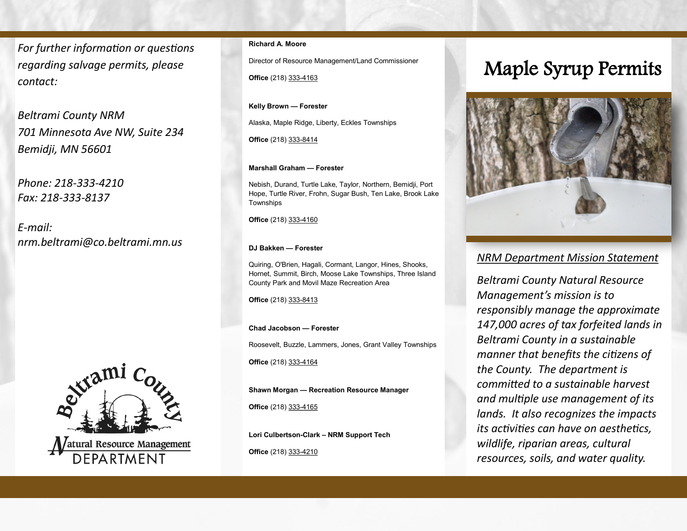*For further information or questions regarding salvage permits, please contact:*

*Beltrami County NRM 701 Minnesota Ave NW, Suite 234 Bemidji, MN 56601*

*Phone: 218-333-4210 Fax: 218-333-8137*

*E-mail: nrm.beltrami@co.beltrami.mn.us*



## **Richard A. Moore**

Director of Resource Management/Land Commissioner

**Office** (218) 333-4163

**Kelly Brown — Forester** 

Alaska, Maple Ridge, Liberty, Eckles Townships

**Office** (218) 333-8414

### **Marshall Graham — Forester**

Nebish, Durand, Turtle Lake, Taylor, Northern, Bemidji, Port Hope, Turtle River, Frohn, Sugar Bush, Ten Lake, Brook Lake Townships

**Office** (218) 333-4160

### **DJ Bakken — Forester**

Quiring, O'Brien, Hagali, Cormant, Langor, Hines, Shooks, Hornet, Summit, Birch, Moose Lake Townships, Three Island County Park and Movil Maze Recreation Area

**Office** (218) 333-8413

### **Chad Jacobson — Forester**

Roosevelt, Buzzle, Lammers, Jones, Grant Valley Townships

**Office** (218) 333-4164

**Shawn Morgan — Recreation Resource Manager**

**Office** (218) 333-4165

**Lori Culbertson-Clark – NRM Support Tech**

## **Office** (218) 333-4210

# Maple Syrup Permits



## *NRM Department Mission Statement*

*Beltrami County Natural Resource Management's mission is to responsibly manage the approximate 147,000 acres of tax forfeited lands in Beltrami County in a sustainable manner that benefits the citizens of the County. The department is committed to a sustainable harvest and multiple use management of its lands. It also recognizes the impacts its activities can have on aesthetics, wildlife, riparian areas, cultural resources, soils, and water quality.*